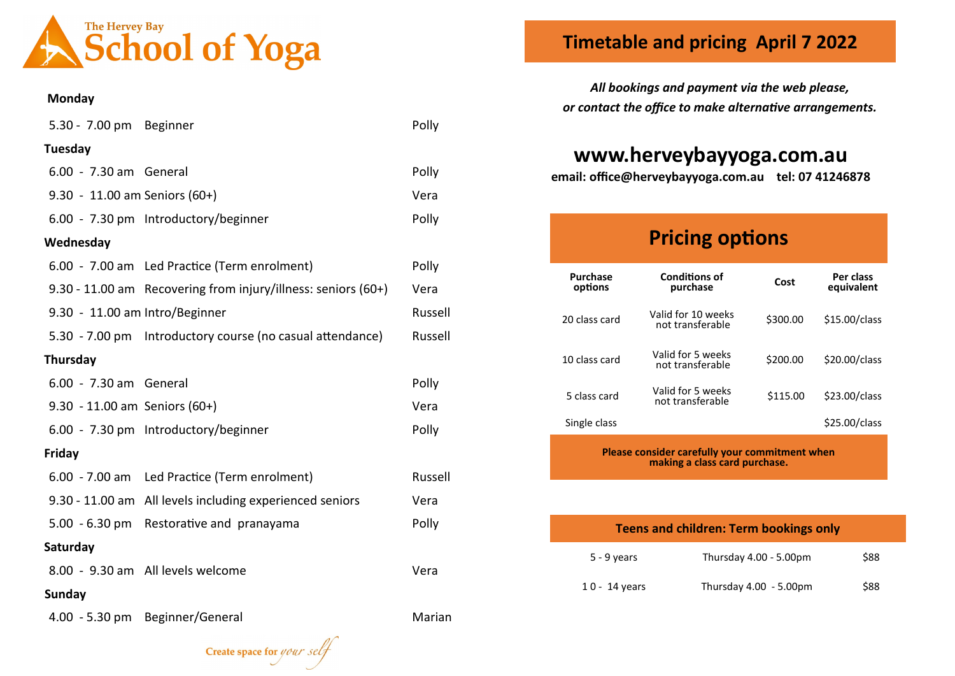

#### **Monday**

| 5.30 - 7.00 pm Beginner        |                                                               | Polly   |
|--------------------------------|---------------------------------------------------------------|---------|
| Tuesday                        |                                                               |         |
| 6.00 - 7.30 am General         |                                                               | Polly   |
| 9.30 - 11.00 am Seniors (60+)  |                                                               | Vera    |
|                                | 6.00 - 7.30 pm Introductory/beginner                          | Polly   |
| Wednesday                      |                                                               |         |
|                                | 6.00 - 7.00 am Led Practice (Term enrolment)                  | Polly   |
|                                | 9.30 - 11.00 am Recovering from injury/illness: seniors (60+) | Vera    |
| 9.30 - 11.00 am Intro/Beginner |                                                               | Russell |
|                                | 5.30 - 7.00 pm Introductory course (no casual attendance)     | Russell |
| Thursday                       |                                                               |         |
| 6.00 - 7.30 am General         |                                                               | Polly   |
| 9.30 - 11.00 am Seniors (60+)  |                                                               | Vera    |
|                                | 6.00 - 7.30 pm Introductory/beginner                          | Polly   |
| Friday                         |                                                               |         |
|                                | 6.00 - 7.00 am Led Practice (Term enrolment)                  | Russell |
|                                | 9.30 - 11.00 am All levels including experienced seniors      | Vera    |
|                                | 5.00 - 6.30 pm Restorative and pranayama                      | Polly   |
| Saturday                       |                                                               |         |
|                                | 8.00 - 9.30 am All levels welcome                             | Vera    |
| <b>Sunday</b>                  |                                                               |         |
|                                | 4.00 - 5.30 pm Beginner/General                               | Marian  |

Create space for your se

### **Timetable and pricing April 7 2022**

*All bookings and payment via the web please, or contact the office to make alternative arrangements.*

## **www.herveybayyoga.com.au**

**email: office@herveybayyoga.com.au tel: 07 41246878**

# **Pricing options**

| <b>Purchase</b><br>options | <b>Conditions of</b><br>purchase       | Cost     | Per class<br>equivalent |
|----------------------------|----------------------------------------|----------|-------------------------|
| 20 class card              | Valid for 10 weeks<br>not transferable | \$300.00 | \$15.00/class           |
| 10 class card              | Valid for 5 weeks<br>not transferable  | \$200.00 | \$20.00/class           |
| 5 class card               | Valid for 5 weeks<br>not transferable  | \$115.00 | \$23.00/class           |
| Single class               |                                        |          | \$25.00/class           |

**Please consider carefully your commitment when making a class card purchase.**

| <b>Teens and children: Term bookings only</b> |                        |      |
|-----------------------------------------------|------------------------|------|
| $5 - 9$ years                                 | Thursday 4.00 - 5.00pm | \$88 |
| $10 - 14$ years                               | Thursday 4.00 - 5.00pm | \$88 |